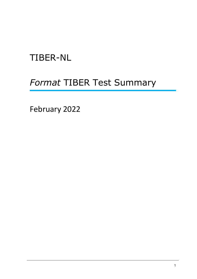# TIBER-NL

## *Format* TIBER Test Summary

February 2022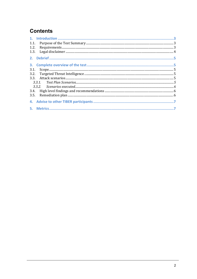## **Contents**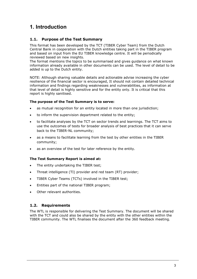### <span id="page-2-0"></span>**1. Introduction**

### <span id="page-2-1"></span>**1.1. Purpose of the Test Summary**

This format has been developed by the TCT (TIBER Cyber Team) from the Dutch Central Bank in cooperation with the Dutch entities taking part in the TIBER program and based on input from the EU TIBER knowledge centre. It will be periodically reviewed based on new insights.

The format mentions the topics to be summarised and gives guidance on what known information already available in other documents can be used. The level of detail to be added is up to the Dutch entity.

NOTE: Although sharing valuable details and actionable advise increasing the cyber resilience of the financial sector is encouraged, It should not contain detailed technical information and findings regarding weaknesses and vulnerabilities, as information at that level of detail is highly sensitive and for the entity only. It is critical that this report is highly sanitised.

#### **The purpose of the Test Summary is to serve:**

- as mutual recognition for an entity located in more than one jurisdiction;
- to inform the supervision department related to the entity;
- to facilitate analyses by the TCT on sector trends and learnings. The TCT aims to use the outcomes of tests for broader analysis of best practices that it can serve back to the TIBER-NL community;
- as a means to facilitate learning from the test by other entities in the TIBER community;
- as an overview of the test for later reference by the entity.

### **The Test Summary Report is aimed at:**

- The entity undertaking the TIBER test;
- Threat intelligence (TI) provider and red team (RT) provider;
- TIBER Cyber Teams (TCTs) involved in the TIBER test;
- Entities part of the national TIBER program;
- Other relevant authorities.

### <span id="page-2-2"></span>**1.2. Requirements**

The WTL is responsible for delivering the Test Summary. The document will be shared with the TCT and could also be shared by the entity with the other entities within the TIBER community. The WTL finalises the document after the 360 feedback meeting.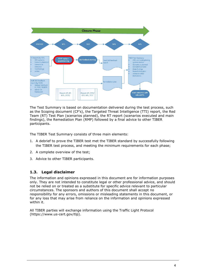

The Test Summary is based on documentation delivered during the test process, such as the Scoping document (CF's), the Targeted Threat Intelligence (TTI) report, the Red Team (RT) Test Plan (scenarios planned), the RT report (scenarios executed and main findings), the Remediation Plan (RMP) followed by a final advice to other TIBER participants.

The TIBER Test Summary consists of three main elements:

- 1. A debrief to prove the TIBER test met the TIBER standard by successfully following the TIBER test process, and meeting the minimum requirements for each phase;
- 2. A complete overview of the test;
- 3. Advice to other TIBER participants.

### <span id="page-3-0"></span>**1.3. Legal disclaimer**

The information and opinions expressed in this document are for information purposes only. They are not intended to constitute legal or other professional advice, and should not be relied on or treated as a substitute for specific advice relevant to particular circumstances. The sponsors and authors of this document shall accept no responsibility for any errors, omissions or misleading statements in this document, or for any loss that may arise from reliance on the information and opinions expressed within it.

All TIBER parties will exchange information using the Traffic Light Protocol [\(https://www.us-cert.gov/tlp\)](https://www.us-cert.gov/tlp).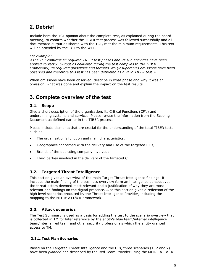### <span id="page-4-0"></span>**2. Debrief**

Include here the TCT opinion about the complete test, as explained during the board meeting, to confirm whether the TIBER test process was followed successfully and all documented output as shared with the TCT, met the minimum requirements. This text will be provided by the TCT to the WTL.

#### *For example:*

<*The TCT confirms all required TIBER test phases and its sub activities have been applied correctly. Output as delivered during the test complies to the TIBER Framework, its required guidelines and formats. No (insuperable) omissions have been observed and therefore this test has been debriefed as a valid TIBER test*.>

When omissions have been observed, describe in what phase and why it was an omission, what was done and explain the impact on the test results.

### <span id="page-4-1"></span>**3. Complete overview of the test**

### <span id="page-4-2"></span>**3.1. Scope**

Give a short description of the organisation, its Critical Functions (CF's) and underpinning systems and services. Please re-use the information from the Scoping Document as defined earlier in the TIBER process.

Please include elements that are crucial for the understanding of the total TIBER test, such as:

- The organisation's function and main characteristics;
- Geographies concerned with the delivery and use of the targeted CF's;
- Brands of the operating company involved;
- Third parties involved in the delivery of the targeted CF.

### <span id="page-4-3"></span>**3.2. Targeted Threat Intelligence**

This section gives an overview of the main Target Threat Intelligence findings. It includes the main finding of the business overview form an intelligence perspective, the threat actors deemed most relevant and a justification of why they are most relevant and findings on the digital presence. Also this section gives a reflection of the high level scenarios produced by the Threat Intelligence Provider, including the mapping to the MITRE ATT&CK Framework.

### <span id="page-4-4"></span>**3.3. Attack scenarios**

The Test Summary is used as a basis for adding the test to the scenario overview that is collected in TM for later reference by the entity's blue team/internal intelligence team/internal red team and other security professionals which the entity granted access to TM.

#### <span id="page-4-5"></span>**3.3.1.Test Plan Scenarios**

Based on the Targeted Threat Intelligence and the CFs, three scenarios (1, 2 and x) have been *planned* and described by the Red Team Provider using the MITRE ATT&CK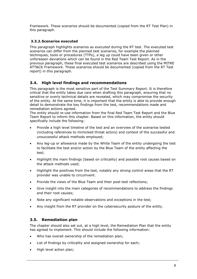Framework. These scenarios should be documented (copied from the RT Test Plan) in this paragraph.

### <span id="page-5-0"></span>**3.3.2.Scenarios executed**

This paragraph highlights scenarios as *executed* during the RT test. The executed test scenarios can differ from the planned test scenarios, for example the planned techniques, tools or procedures (TTPs), a leg up could have been given or other unforeseen deviations which can be found in the Red Team Test Report. As in the previous paragraph, these final executed test scenarios are described using the MITRE ATT&CK Framework. These scenarios should be documented (copied from the RT Test report) in this paragraph.

### <span id="page-5-1"></span>**3.4. High level findings and recommendations**

This paragraph is the most sensitive part of the Test Summary Report. It is therefore critical that the entity takes due care when drafting this paragraph, ensuring that no sensitive or overly technical details are revealed, which may compromise the security of the entity. At the same time, it is important that the entity is able to provide enough detail to demonstrate the key findings from the test, recommendations made and remediation actions agreed.

The entity should re-use information from the final Red Team Test Report and the Blue Team Report to inform this chapter. Based on this information, the entity should specifically include the following:

- Provide a high level timeline of the test and an overview of the scenarios tested (including references to mimicked threat actors) and context of the successful and unsuccessful attack methods employed;
- Any leg-up or allowance made by the White Team of the entity undergoing the test to facilitate the test and/or action by the Blue Team of the entity affecting the test;
- Highlight the main findings (based on criticality) and possible root causes based on the attack methods used;
- Highlight the positives from the test, notably any strong control areas that the RT provider was unable to circumvent.
- Provide the views of the Blue Team and their post-test reflections;
- Give insight into the main categories of recommendations to address the findings and their root causes;
- Note any significant notable observations and exceptions in the test;
- Any insight from the RT provider on the cybersecurity posture of the entity.

### <span id="page-5-2"></span>**3.5. Remediation plan**

The chapter should also set out, at a high level, the Remediation Plan that the entity has agreed to implement. This should include the following information:

- Who has overall ownership of the remediation plan;
- List of findings by criticality and assigned ownership for each;
- High level action plan;